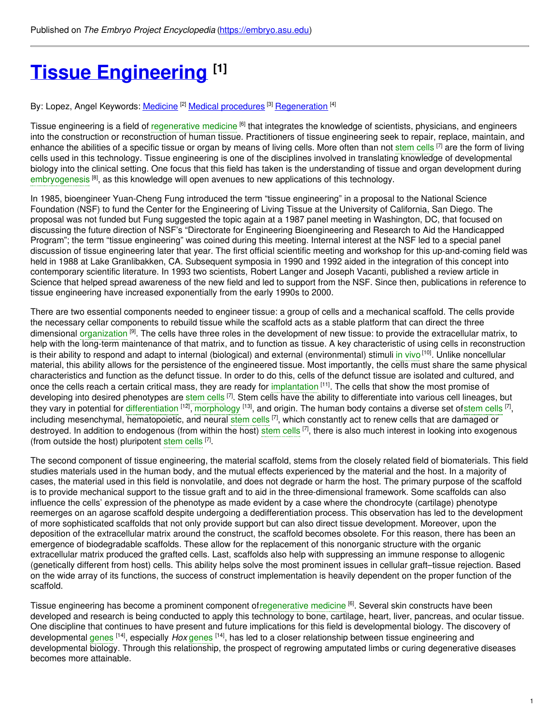# **Tissue [Engineering](https://embryo.asu.edu/pages/tissue-engineering) [1]**

By: Lopez, Angel Keywords: <u>[Medicine](https://embryo.asu.edu/keywords/medicine) [2] Medical [procedures](https://embryo.asu.edu/keywords/medical-procedures)</u> [3] <u>[Regeneration](https://embryo.asu.edu/keywords/regeneration)</u> [4]

Tissue engineering is a field of [regenerative](https://embryo.asu.edu/search?text=regenerative%20medicine) medicine <sup>[6]</sup> that integrates the knowledge of scientists, physicians, and engineers into the construction or reconstruction of human tissue. Practitioners of tissue engineering seek to repair, replace, maintain, and enhance the abilities of a specific tissue or organ by means of living cells. More often than not [stem](https://embryo.asu.edu/search?text=stem%20cells) cells [7] are the form of living cells used in this technology. Tissue engineering is one of the disciplines involved in translating knowledge of developmental biology into the clinical setting. One focus that this field has taken is the understanding of tissue and organ development during [embryogenesis](https://embryo.asu.edu/search?text=embryogenesis)<sup>[8]</sup>, as this knowledge will open avenues to new applications of this technology.

In 1985, bioengineer Yuan-Cheng Fung introduced the term "tissue engineering" in a proposal to the National Science Foundation (NSF) to fund the Center for the Engineering of Living Tissue at the University of California, San Diego. The proposal was not funded but Fung suggested the topic again at a 1987 panel meeting in Washington, DC, that focused on discussing the future direction of NSF's "Directorate for Engineering Bioengineering and Research to Aid the Handicapped Program"; the term "tissue engineering" was coined during this meeting. Internal interest at the NSF led to a special panel discussion of tissue engineering later that year. The first official scientific meeting and workshop for this up-and-coming field was held in 1988 at Lake Granlibakken, CA. Subsequent symposia in 1990 and 1992 aided in the integration of this concept into contemporary scientific literature. In 1993 two scientists, Robert Langer and Joseph Vacanti, published a review article in Science that helped spread awareness of the new field and led to support from the NSF. Since then, publications in reference to tissue engineering have increased exponentially from the early 1990s to 2000.

There are two essential components needed to engineer tissue: a group of cells and a mechanical scaffold. The cells provide the necessary cellar components to rebuild tissue while the scaffold acts as a stable platform that can direct the three dimensional [organization](https://embryo.asu.edu/search?text=organization) <sup>[9]</sup>. The cells have three roles in the development of new tissue: to provide the extracellular matrix, to help with the long-term maintenance of that matrix, and to function as tissue. A key characteristic of using cells in reconstruction is their ability to respond and adapt to internal (biological) and external (environmental) stimuli i<mark>n [vivo](https://embryo.asu.edu/search?text=in%20vivo)<sup>[10]</sup>. Unlike noncellular</mark> material, this ability allows for the persistence of the engineered tissue. Most importantly, the cells must share the same physical characteristics and function as the defunct tissue. In order to do this, cells of the defunct tissue are isolated and cultured, and once the cells reach a certain critical mass, they are ready for [implantation](https://embryo.asu.edu/search?text=implantation) [11]. The cells that show the most promise of developing into desired phenotypes are [stem](https://embryo.asu.edu/search?text=stem%20cells) cells <sup>[7]</sup>. Stem cells have the ability to differentiate into various cell lineages, but they vary in potential for [differentiation](https://embryo.asu.edu/search?text=differentiation) <sup>[12]</sup>, [morphology](https://embryo.asu.edu/search?text=morphology) <sup>[13]</sup>, and origin. The human body contains a diverse set of[stem](https://embryo.asu.edu/search?text=stem%20cells) cells <sup>[7]</sup>, including mesenchymal, hematopoietic, and neural [stem](https://embryo.asu.edu/search?text=stem%20cells) cells [7], which constantly act to renew cells that are damaged or destroyed. In addition to endogenous (from within the host) [stem](https://embryo.asu.edu/search?text=stem%20cells) cells <sup>[7]</sup>, there is also much interest in looking into exogenous (from outside the host) pluripotent [stem](https://embryo.asu.edu/search?text=stem%20cells) cells [7].

The second component of tissue engineering, the material scaffold, stems from the closely related field of biomaterials. This field studies materials used in the human body, and the mutual effects experienced by the material and the host. In a majority of cases, the material used in this field is nonvolatile, and does not degrade or harm the host. The primary purpose of the scaffold is to provide mechanical support to the tissue graft and to aid in the three-dimensional framework. Some scaffolds can also influence the cells' expression of the phenotype as made evident by a case where the chondrocyte (cartilage) phenotype reemerges on an agarose scaffold despite undergoing a dedifferentiation process. This observation has led to the development of more sophisticated scaffolds that not only provide support but can also direct tissue development. Moreover, upon the deposition of the extracellular matrix around the construct, the scaffold becomes obsolete. For this reason, there has been an emergence of biodegradable scaffolds. These allow for the replacement of this nonorganic structure with the organic extracellular matrix produced the grafted cells. Last, scaffolds also help with suppressing an immune response to allogenic (genetically different from host) cells. This ability helps solve the most prominent issues in cellular graft–tissue rejection. Based on the wide array of its functions, the success of construct implementation is heavily dependent on the proper function of the scaffold.

Tissue engineering has become a prominent component of[regenerative](https://embryo.asu.edu/search?text=regenerative%20medicine) medicine <sup>[6]</sup>. Several skin constructs have been developed and research is being conducted to apply this technology to bone, cartilage, heart, liver, pancreas, and ocular tissue. One discipline that continues to have present and future implications for this field is developmental biology. The discovery of developmental [genes](https://embryo.asu.edu/search?text=genes) <sup>[14]</sup>, especially *Hox* genes <sup>[14]</sup>, has led to a closer relationship between tissue engineering and developmental biology. Through this relationship, the prospect of regrowing amputated limbs or curing degenerative diseases becomes more attainable.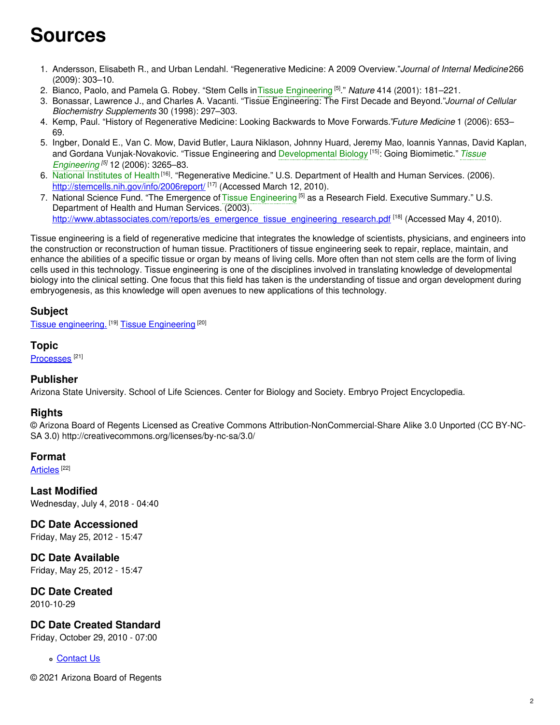# **Sources**

- 1. Andersson, Elisabeth R., and Urban Lendahl. "Regenerative Medicine: A 2009 Overview."*Journal of Internal Medicine*266 (2009): 303–10.
- 2. Bianco, Paolo, and Pamela G. Robey. "Stem Cells inTissue [Engineering](https://embryo.asu.edu/search?text=Tissue%20Engineering) [5] ." *Nature* 414 (2001): 181–221.
- 3. Bonassar, Lawrence J., and Charles A. Vacanti. "Tissue Engineering: The First Decade and Beyond."*Journal of Cellular Biochemistry Supplements* 30 (1998): 297–303.
- 4. Kemp, Paul. "History of Regenerative Medicine: Looking Backwards to Move Forwards."*Future Medicine* 1 (2006): 653– 69.
- 5. Ingber, Donald E., Van C. Mow, David Butler, Laura Niklason, Johnny Huard, Jeremy Mao, Ioannis Yannas, David Kaplan, and Gordana [Vunjak-Novakovic.](https://embryo.asu.edu/search?text=Tissue%20Engineering) "Tissue Engineering and [Developmental](https://embryo.asu.edu/search?text=Developmental%20Biology) Biology [15] : Going Biomimetic." *Tissue Engineering [5]* 12 (2006): 3265–83.
- 6. National [Institutes](https://embryo.asu.edu/search?text=National%20Institutes%20of%20Health) of Health<sup>[16]</sup>. "Regenerative Medicine." U.S. Department of Health and Human Services. (2006). <http://stemcells.nih.gov/info/2006report/> <sup>[17]</sup> (Accessed March 12, 2010).
- 7. National Science Fund. "The Emergence of Tissue [Engineering](https://embryo.asu.edu/search?text=Tissue%20Engineering) <sup>[5]</sup> as a Research Field. Executive Summary." U.S. Department of Health and Human Services. (2003). [http://www.abtassociates.com/reports/es\\_emergence\\_tissue\\_engineering\\_research.pdf](http://www.abtassociates.com/reports/es_emergence_tissue_engineering_research.pdf) [18] (Accessed May 4, 2010).

Tissue engineering is a field of regenerative medicine that integrates the knowledge of scientists, physicians, and engineers into the construction or reconstruction of human tissue. Practitioners of tissue engineering seek to repair, replace, maintain, and enhance the abilities of a specific tissue or organ by means of living cells. More often than not stem cells are the form of living cells used in this technology. Tissue engineering is one of the disciplines involved in translating knowledge of developmental biology into the clinical setting. One focus that this field has taken is the understanding of tissue and organ development during embryogenesis, as this knowledge will open avenues to new applications of this technology.

## **Subject**

Tissue [engineering.](https://embryo.asu.edu/library-congress-subject-headings/tissue-engineering) <sup>[19]</sup> Tissue [Engineering](https://embryo.asu.edu/medical-subject-headings/tissue-engineering) <sup>[20]</sup>

### **Topic**

[Processes](https://embryo.asu.edu/topics/processes)<sup>[21]</sup>

### **Publisher**

Arizona State University. School of Life Sciences. Center for Biology and Society. Embryo Project Encyclopedia.

### **Rights**

© Arizona Board of Regents Licensed as Creative Commons Attribution-NonCommercial-Share Alike 3.0 Unported (CC BY-NC-SA 3.0) http://creativecommons.org/licenses/by-nc-sa/3.0/

#### **Format**

<u>[Articles](https://embryo.asu.edu/formats/articles)</u>  $^{[22]}$ 

**Last Modified** Wednesday, July 4, 2018 - 04:40

**DC Date Accessioned** Friday, May 25, 2012 - 15:47

**DC Date Available** Friday, May 25, 2012 - 15:47

**DC Date Created** 2010-10-29

### **DC Date Created Standard**

Friday, October 29, 2010 - 07:00

**c** [Contact](https://embryo.asu.edu/contact) Us

© 2021 Arizona Board of Regents